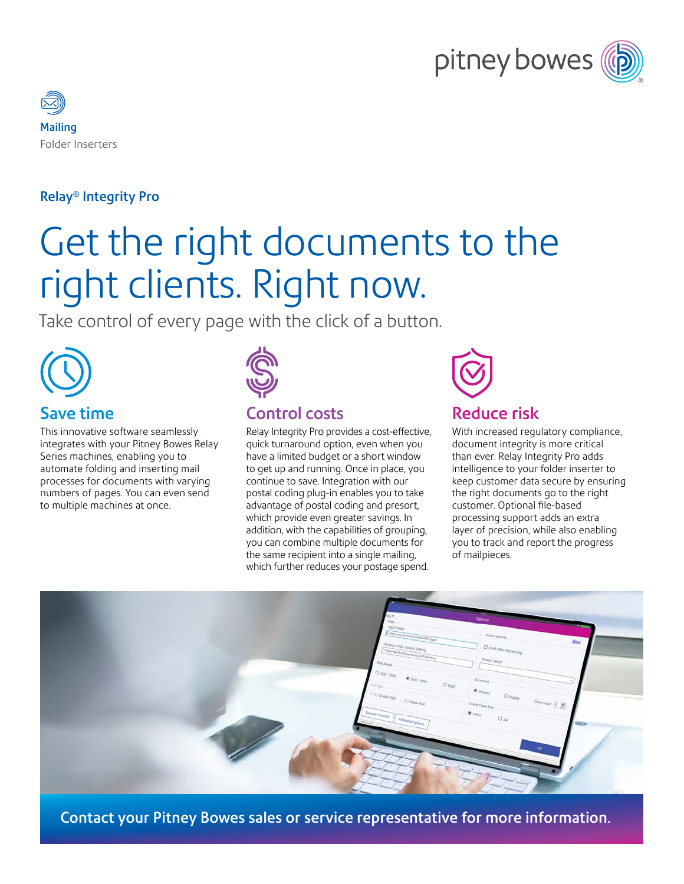



#### Relay® Integrity Pro

# Get the right documents to the right clients. Right now.

Take control of every page with the click of a button.



#### Save time

This innovative software seamlessly integrates with your Pitney Bowes Relay Series machines, enabling you to automate folding and inserting mail processes for documents with varying numbers of pages. You can even send to multiple machines at once.



#### Control costs

Relay Integrity Pro provides a cost-effective, quick turnaround option, even when you have a limited budget or a short window to get up and running. Once in place, you continue to save. Integration with our postal coding plug-in enables you to take advantage of postal coding and presort, which provide even greater savings. In addition, with the capabilities of grouping, you can combine multiple documents for the same recipient into a single mailing, which further reduces your postage spend.



#### With increased regulatory compliance, document integrity is more critical than ever. Relay Integrity Pro adds intelligence to your folder inserter to keep customer data secure by ensuring the right documents go to the right customer. Optional file-based processing support adds an extra layer of precision, while also enabling you to track and report the progress of mailpieces.



Contact your Pitney Bowes sales or service representative for more information.